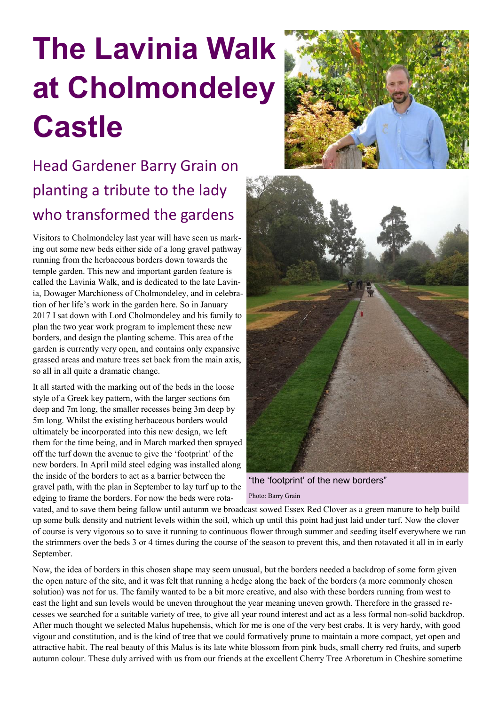## **The Lavinia Walk at Cholmondeley Castle**

## Head Gardener Barry Grain on planting a tribute to the lady who transformed the gardens

Visitors to Cholmondeley last year will have seen us marking out some new beds either side of a long gravel pathway running from the herbaceous borders down towards the temple garden. This new and important garden feature is called the Lavinia Walk, and is dedicated to the late Lavinia, Dowager Marchioness of Cholmondeley, and in celebration of her life's work in the garden here. So in January 2017 I sat down with Lord Cholmondeley and his family to plan the two year work program to implement these new borders, and design the planting scheme. This area of the garden is currently very open, and contains only expansive grassed areas and mature trees set back from the main axis, so all in all quite a dramatic change.

It all started with the marking out of the beds in the loose style of a Greek key pattern, with the larger sections 6m deep and 7m long, the smaller recesses being 3m deep by 5m long. Whilst the existing herbaceous borders would ultimately be incorporated into this new design, we left them for the time being, and in March marked then sprayed off the turf down the avenue to give the 'footprint' of the new borders. In April mild steel edging was installed along the inside of the borders to act as a barrier between the gravel path, with the plan in September to lay turf up to the edging to frame the borders. For now the beds were rota-





"the 'footprint' of the new borders"

Photo: Barry Grain

vated, and to save them being fallow until autumn we broadcast sowed Essex Red Clover as a green manure to help build up some bulk density and nutrient levels within the soil, which up until this point had just laid under turf. Now the clover of course is very vigorous so to save it running to continuous flower through summer and seeding itself everywhere we ran the strimmers over the beds 3 or 4 times during the course of the season to prevent this, and then rotavated it all in in early September.

Now, the idea of borders in this chosen shape may seem unusual, but the borders needed a backdrop of some form given the open nature of the site, and it was felt that running a hedge along the back of the borders (a more commonly chosen solution) was not for us. The family wanted to be a bit more creative, and also with these borders running from west to east the light and sun levels would be uneven throughout the year meaning uneven growth. Therefore in the grassed recesses we searched for a suitable variety of tree, to give all year round interest and act as a less formal non-solid backdrop. After much thought we selected Malus hupehensis, which for me is one of the very best crabs. It is very hardy, with good vigour and constitution, and is the kind of tree that we could formatively prune to maintain a more compact, yet open and attractive habit. The real beauty of this Malus is its late white blossom from pink buds, small cherry red fruits, and superb autumn colour. These duly arrived with us from our friends at the excellent Cherry Tree Arboretum in Cheshire sometime